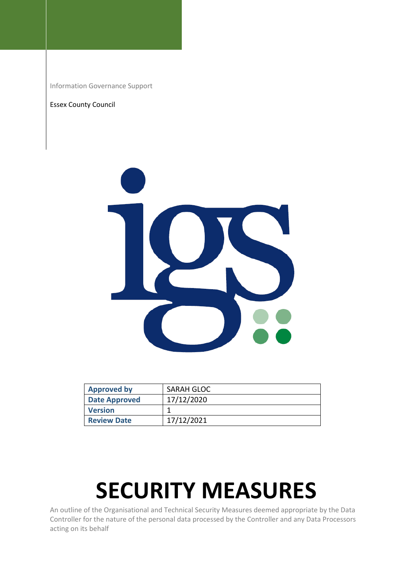Information Governance Support

#### Essex County Council



| <b>Approved by</b> | SARAH GLOC |
|--------------------|------------|
| Date Approved      | 17/12/2020 |
| <b>Version</b>     |            |
| <b>Review Date</b> | 17/12/2021 |

# **SECURITY MEASURES**

An outline of the Organisational and Technical Security Measures deemed appropriate by the Data Controller for the nature of the personal data processed by the Controller and any Data Processors acting on its behalf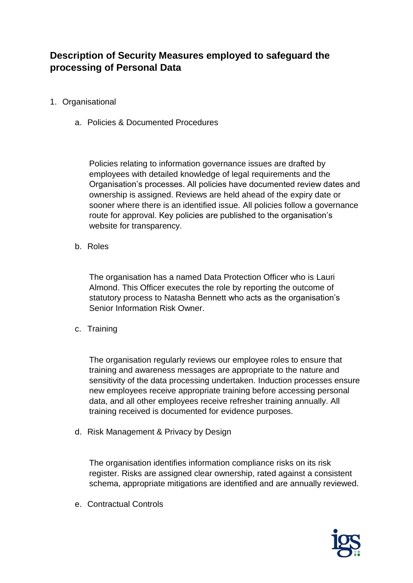## **Description of Security Measures employed to safeguard the processing of Personal Data**

- 1. Organisational
	- a. Policies & Documented Procedures

Policies relating to information governance issues are drafted by employees with detailed knowledge of legal requirements and the Organisation's processes. All policies have documented review dates and ownership is assigned. Reviews are held ahead of the expiry date or sooner where there is an identified issue. All policies follow a governance route for approval. Key policies are published to the organisation's website for transparency.

b. Roles

The organisation has a named Data Protection Officer who is Lauri Almond. This Officer executes the role by reporting the outcome of statutory process to Natasha Bennett who acts as the organisation's Senior Information Risk Owner.

c. Training

The organisation regularly reviews our employee roles to ensure that training and awareness messages are appropriate to the nature and sensitivity of the data processing undertaken. Induction processes ensure new employees receive appropriate training before accessing personal data, and all other employees receive refresher training annually. All training received is documented for evidence purposes.

d. Risk Management & Privacy by Design

The organisation identifies information compliance risks on its risk register. Risks are assigned clear ownership, rated against a consistent schema, appropriate mitigations are identified and are annually reviewed.

e. Contractual Controls

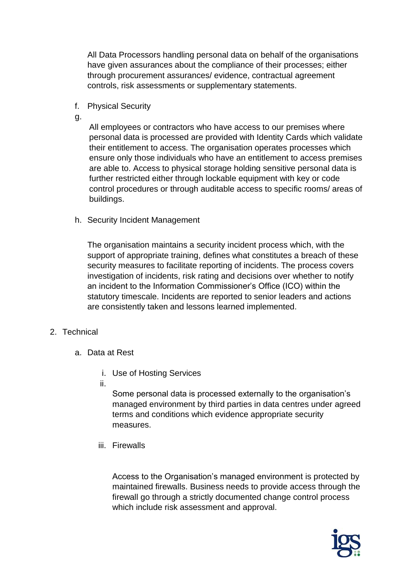All Data Processors handling personal data on behalf of the organisations have given assurances about the compliance of their processes; either through procurement assurances/ evidence, contractual agreement controls, risk assessments or supplementary statements.

- f. Physical Security
- g.

All employees or contractors who have access to our premises where personal data is processed are provided with Identity Cards which validate their entitlement to access. The organisation operates processes which ensure only those individuals who have an entitlement to access premises are able to. Access to physical storage holding sensitive personal data is further restricted either through lockable equipment with key or code control procedures or through auditable access to specific rooms/ areas of buildings.

h. Security Incident Management

The organisation maintains a security incident process which, with the support of appropriate training, defines what constitutes a breach of these security measures to facilitate reporting of incidents. The process covers investigation of incidents, risk rating and decisions over whether to notify an incident to the Information Commissioner's Office (ICO) within the statutory timescale. Incidents are reported to senior leaders and actions are consistently taken and lessons learned implemented.

## 2. Technical

- a. Data at Rest
	- i. Use of Hosting Services
	- ii.

Some personal data is processed externally to the organisation's managed environment by third parties in data centres under agreed terms and conditions which evidence appropriate security measures.

iii. Firewalls

Access to the Organisation's managed environment is protected by maintained firewalls. Business needs to provide access through the firewall go through a strictly documented change control process which include risk assessment and approval.

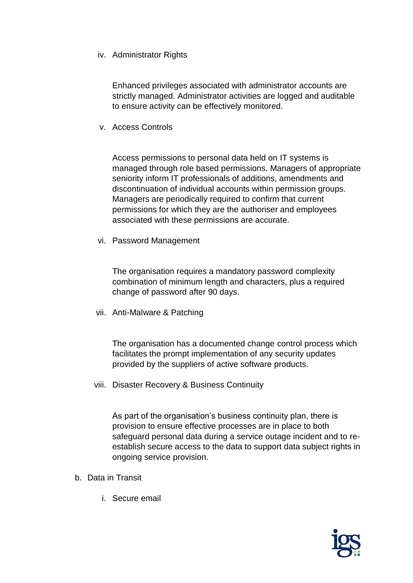### iv. Administrator Rights

Enhanced privileges associated with administrator accounts are strictly managed. Administrator activities are logged and auditable to ensure activity can be effectively monitored.

v. Access Controls

Access permissions to personal data held on IT systems is managed through role based permissions. Managers of appropriate seniority inform IT professionals of additions, amendments and discontinuation of individual accounts within permission groups. Managers are periodically required to confirm that current permissions for which they are the authoriser and employees associated with these permissions are accurate.

vi. Password Management

The organisation requires a mandatory password complexity combination of minimum length and characters, plus a required change of password after 90 days.

vii. Anti-Malware & Patching

The organisation has a documented change control process which facilitates the prompt implementation of any security updates provided by the suppliers of active software products.

viii. Disaster Recovery & Business Continuity

As part of the organisation's business continuity plan, there is provision to ensure effective processes are in place to both safeguard personal data during a service outage incident and to reestablish secure access to the data to support data subject rights in ongoing service provision.

- b. Data in Transit
	- i. Secure email